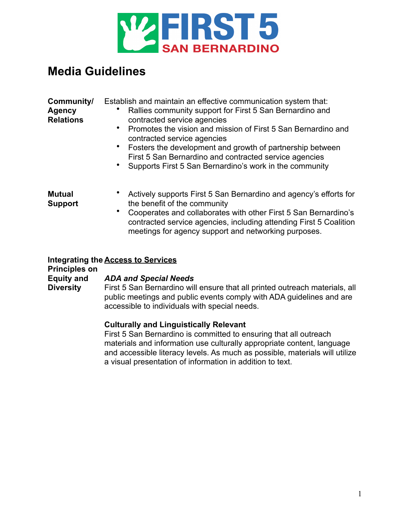

# **Media Guidelines**

| Community/<br><b>Agency</b><br><b>Relations</b> | Establish and maintain an effective communication system that:<br>Rallies community support for First 5 San Bernardino and<br>contracted service agencies<br>Promotes the vision and mission of First 5 San Bernardino and<br>contracted service agencies<br>• Fosters the development and growth of partnership between<br>First 5 San Bernardino and contracted service agencies<br>Supports First 5 San Bernardino's work in the community |
|-------------------------------------------------|-----------------------------------------------------------------------------------------------------------------------------------------------------------------------------------------------------------------------------------------------------------------------------------------------------------------------------------------------------------------------------------------------------------------------------------------------|
| <b>Mutual</b><br><b>Support</b>                 | Actively supports First 5 San Bernardino and agency's efforts for<br>the benefit of the community<br>Cooperates and collaborates with other First 5 San Bernardino's<br>contracted service agencies, including attending First 5 Coalition<br>meetings for agency support and networking purposes.                                                                                                                                            |

### **Integrating the Access to Services**

**Principles on Equity and** 

**Diversity**

### *ADA and Special Needs*

First 5 San Bernardino will ensure that all printed outreach materials, all public meetings and public events comply with ADA guidelines and are accessible to individuals with special needs.

### **Culturally and Linguistically Relevant**

First 5 San Bernardino is committed to ensuring that all outreach materials and information use culturally appropriate content, language and accessible literacy levels. As much as possible, materials will utilize a visual presentation of information in addition to text.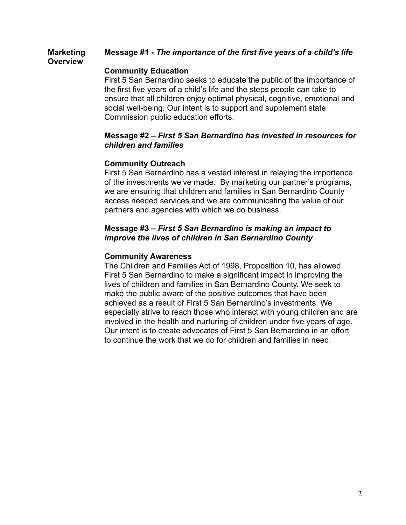#### **Marketing Overview Message #1 -** *The importance of the first five years of a child's life*

# **Community Education**

First 5 San Bernardino seeks to educate the public of the importance of the first five years of a child's life and the steps people can take to ensure that all children enjoy optimal physical, cognitive, emotional and social well-being. Our intent is to support and supplement state Commission public education efforts.

### **Message #2 –** *First 5 San Bernardino has invested in resources for children and families*

# **Community Outreach**

First 5 San Bernardino has a vested interest in relaying the importance of the investments we've made. By marketing our partner's programs, we are ensuring that children and families in San Bernardino County access needed services and we are communicating the value of our partners and agencies with which we do business.

# **Message #3 –** *First 5 San Bernardino is making an impact to improve the lives of children in San Bernardino County*

# **Community Awareness**

The Children and Families Act of 1998, Proposition 10, has allowed First 5 San Bernardino to make a significant impact in improving the lives of children and families in San Bernardino County. We seek to make the public aware of the positive outcomes that have been achieved as a result of First 5 San Bernardino's investments. We especially strive to reach those who interact with young children and are involved in the health and nurturing of children under five years of age. Our intent is to create advocates of First 5 San Bernardino in an effort to continue the work that we do for children and families in need.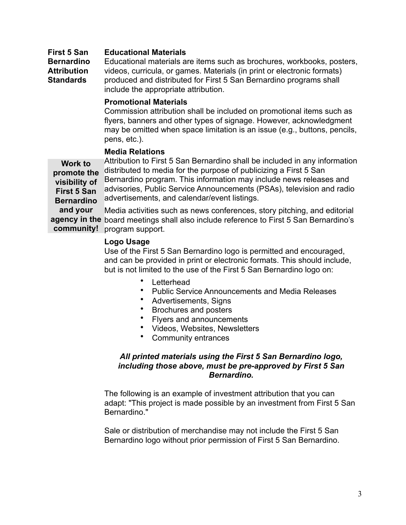#### **First 5 San Educational Materials**

**Bernardino Attribution Standards** Educational materials are items such as brochures, workbooks, posters, videos, curricula, or games. Materials (in print or electronic formats) produced and distributed for First 5 San Bernardino programs shall include the appropriate attribution.

### **Promotional Materials**

Commission attribution shall be included on promotional items such as flyers, banners and other types of signage. However, acknowledgment may be omitted when space limitation is an issue (e.g., buttons, pencils, pens, etc.).

### **Media Relations**

**Work to promote the visibility of First 5 San Bernardino and your agency in the**  board meetings shall also include reference to First 5 San Bernardino's Attribution to First 5 San Bernardino shall be included in any information distributed to media for the purpose of publicizing a First 5 San Bernardino program. This information may include news releases and advisories, Public Service Announcements (PSAs), television and radio advertisements, and calendar/event listings. Media activities such as news conferences, story pitching, and editorial

### **Logo Usage**

**community!** program support.

Use of the First 5 San Bernardino logo is permitted and encouraged, and can be provided in print or electronic formats. This should include, but is not limited to the use of the First 5 San Bernardino logo on:

- Letterhead
- Public Service Announcements and Media Releases
- Advertisements, Signs
- Brochures and posters
- Flyers and announcements
- Videos, Websites, Newsletters
- Community entrances

### *All printed materials using the First 5 San Bernardino logo, including those above, must be pre-approved by First 5 San Bernardino.*

The following is an example of investment attribution that you can adapt: "This project is made possible by an investment from First 5 San Bernardino."

Sale or distribution of merchandise may not include the First 5 San Bernardino logo without prior permission of First 5 San Bernardino.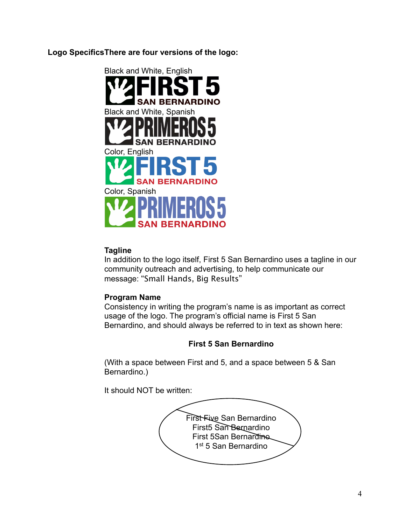**Logo SpecificsThere are four versions of the logo:**



# **Tagline**

In addition to the logo itself, First 5 San Bernardino uses a tagline in our community outreach and advertising, to help communicate our message: "Small Hands, Big Results"

# **Program Name**

Consistency in writing the program's name is as important as correct usage of the logo. The program's official name is First 5 San Bernardino, and should always be referred to in text as shown here:

# **First 5 San Bernardino**

(With a space between First and 5, and a space between 5 & San Bernardino.)

It should NOT be written: